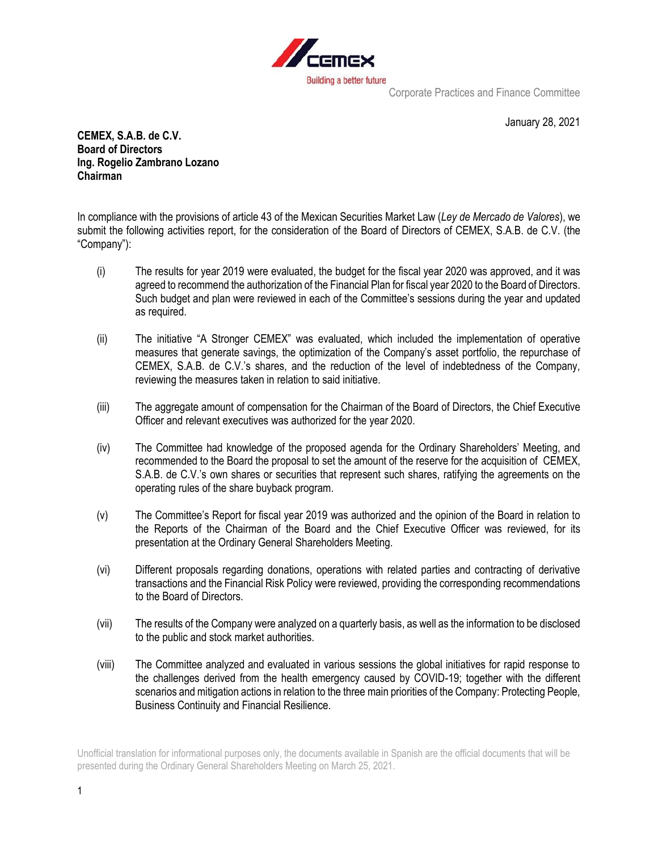

Corporate Practices and Finance Committee

January 28, 2021

**CEMEX, S.A.B. de C.V. Board of Directors Ing. Rogelio Zambrano Lozano Chairman**

In compliance with the provisions of article 43 of the Mexican Securities Market Law (*Ley de Mercado de Valores*), we submit the following activities report, for the consideration of the Board of Directors of CEMEX, S.A.B. de C.V. (the "Company"):

- (i) The results for year 2019 were evaluated, the budget for the fiscal year 2020 was approved, and it was agreed to recommend the authorization of the Financial Plan for fiscal year 2020 to the Board of Directors. Such budget and plan were reviewed in each of the Committee's sessions during the year and updated as required.
- (ii) The initiative "A Stronger CEMEX" was evaluated, which included the implementation of operative measures that generate savings, the optimization of the Company's asset portfolio, the repurchase of CEMEX, S.A.B. de C.V.'s shares, and the reduction of the level of indebtedness of the Company, reviewing the measures taken in relation to said initiative.
- (iii) The aggregate amount of compensation for the Chairman of the Board of Directors, the Chief Executive Officer and relevant executives was authorized for the year 2020.
- (iv) The Committee had knowledge of the proposed agenda for the Ordinary Shareholders' Meeting, and recommended to the Board the proposal to set the amount of the reserve for the acquisition of CEMEX, S.A.B. de C.V.'s own shares or securities that represent such shares, ratifying the agreements on the operating rules of the share buyback program.
- (v) The Committee's Report for fiscal year 2019 was authorized and the opinion of the Board in relation to the Reports of the Chairman of the Board and the Chief Executive Officer was reviewed, for its presentation at the Ordinary General Shareholders Meeting.
- (vi) Different proposals regarding donations, operations with related parties and contracting of derivative transactions and the Financial Risk Policy were reviewed, providing the corresponding recommendations to the Board of Directors.
- (vii) The results of the Company were analyzed on a quarterly basis, as well as the information to be disclosed to the public and stock market authorities.
- (viii) The Committee analyzed and evaluated in various sessions the global initiatives for rapid response to the challenges derived from the health emergency caused by COVID-19; together with the different scenarios and mitigation actions in relation to the three main priorities of the Company: Protecting People, Business Continuity and Financial Resilience.

Unofficial translation for informational purposes only, the documents available in Spanish are the official documents that will be presented during the Ordinary General Shareholders Meeting on March 25, 2021.